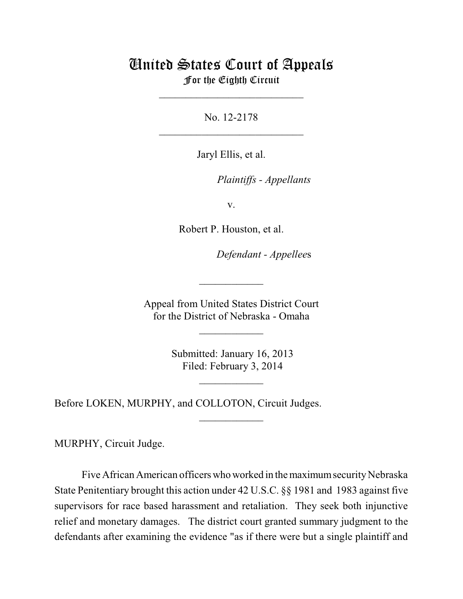# United States Court of Appeals For the Eighth Circuit

\_\_\_\_\_\_\_\_\_\_\_\_\_\_\_\_\_\_\_\_\_\_\_\_\_\_\_

No. 12-2178  $\mathcal{L}_\text{max}$  , which is a set of the set of the set of the set of the set of the set of the set of the set of the set of the set of the set of the set of the set of the set of the set of the set of the set of the set of

Jaryl Ellis, et al.

*Plaintiffs - Appellants* 

v.

Robert P. Houston, et al.

 $Defendant - Appelles$ 

 Appeal from United States District Court for the District of Nebraska - Omaha

\_\_\_\_\_\_\_\_\_\_\_\_

 $\frac{1}{2}$ 

 Submitted: January 16, 2013 Filed: February 3, 2014

 $\frac{1}{2}$ 

 $\frac{1}{2}$ 

Before LOKEN, MURPHY, and COLLOTON, Circuit Judges.

MURPHY, Circuit Judge.

Five African American officers who worked in the maximum security Nebraska State Penitentiary brought this action under 42 U.S.C. §§ 1981 and 1983 against five supervisors for race based harassment and retaliation. They seek both injunctive relief and monetary damages. The district court granted summary judgment to the defendants after examining the evidence "as if there were but a single plaintiff and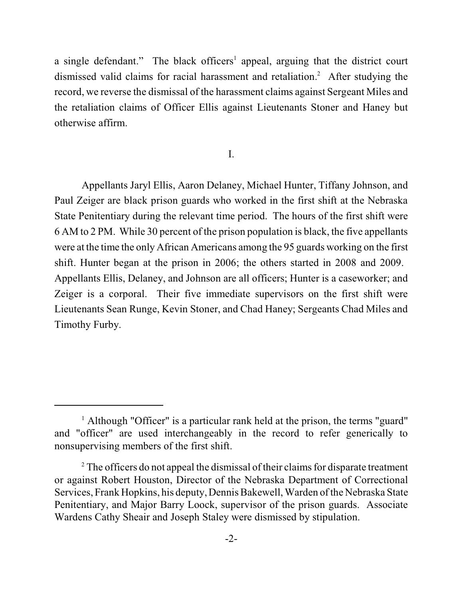a single defendant." The black officers<sup>1</sup> appeal, arguing that the district court dismissed valid claims for racial harassment and retaliation.<sup>2</sup> After studying the record, we reverse the dismissal of the harassment claims against Sergeant Miles and the retaliation claims of Officer Ellis against Lieutenants Stoner and Haney but otherwise affirm.

### I.

Appellants Jaryl Ellis, Aaron Delaney, Michael Hunter, Tiffany Johnson, and Paul Zeiger are black prison guards who worked in the first shift at the Nebraska State Penitentiary during the relevant time period. The hours of the first shift were 6 AM to 2 PM. While 30 percent of the prison population is black, the five appellants were at the time the only African Americans among the 95 guards working on the first shift. Hunter began at the prison in 2006; the others started in 2008 and 2009. Appellants Ellis, Delaney, and Johnson are all officers; Hunter is a caseworker; and Zeiger is a corporal. Their five immediate supervisors on the first shift were Lieutenants Sean Runge, Kevin Stoner, and Chad Haney; Sergeants Chad Miles and Timothy Furby.

 $<sup>1</sup>$  Although "Officer" is a particular rank held at the prison, the terms "guard"</sup> and "officer" are used interchangeably in the record to refer generically to nonsupervising members of the first shift.

 $2^2$  The officers do not appeal the dismissal of their claims for disparate treatment or against Robert Houston, Director of the Nebraska Department of Correctional Services, Frank Hopkins, his deputy, Dennis Bakewell, Warden of the Nebraska State Penitentiary, and Major Barry Loock, supervisor of the prison guards. Associate Wardens Cathy Sheair and Joseph Staley were dismissed by stipulation.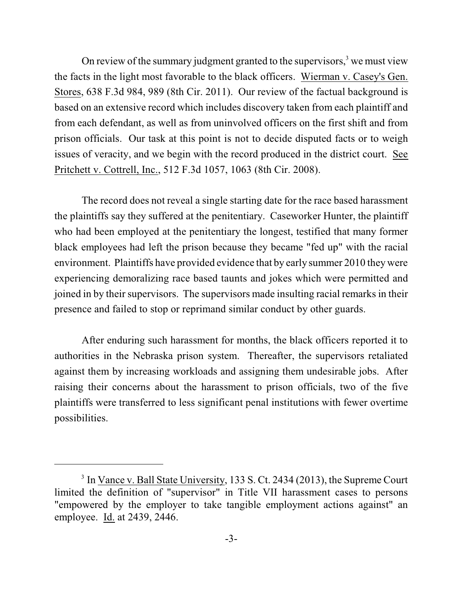On review of the summary judgment granted to the supervisors,<sup>3</sup> we must view the facts in the light most favorable to the black officers. Wierman v. Casey's Gen. Stores, 638 F.3d 984, 989 (8th Cir. 2011). Our review of the factual background is based on an extensive record which includes discovery taken from each plaintiff and from each defendant, as well as from uninvolved officers on the first shift and from prison officials. Our task at this point is not to decide disputed facts or to weigh issues of veracity, and we begin with the record produced in the district court. See Pritchett v. Cottrell, Inc., 512 F.3d 1057, 1063 (8th Cir. 2008).

The record does not reveal a single starting date for the race based harassment the plaintiffs say they suffered at the penitentiary. Caseworker Hunter, the plaintiff who had been employed at the penitentiary the longest, testified that many former black employees had left the prison because they became "fed up" with the racial environment. Plaintiffs have provided evidence that by early summer 2010 they were experiencing demoralizing race based taunts and jokes which were permitted and joined in by their supervisors. The supervisors made insulting racial remarks in their presence and failed to stop or reprimand similar conduct by other guards.

After enduring such harassment for months, the black officers reported it to authorities in the Nebraska prison system. Thereafter, the supervisors retaliated against them by increasing workloads and assigning them undesirable jobs. After raising their concerns about the harassment to prison officials, two of the five plaintiffs were transferred to less significant penal institutions with fewer overtime possibilities.

<sup>&</sup>lt;sup>3</sup> In <u>Vance v. Ball State University</u>, 133 S. Ct. 2434 (2013), the Supreme Court limited the definition of "supervisor" in Title VII harassment cases to persons "empowered by the employer to take tangible employment actions against" an employee. Id. at 2439, 2446.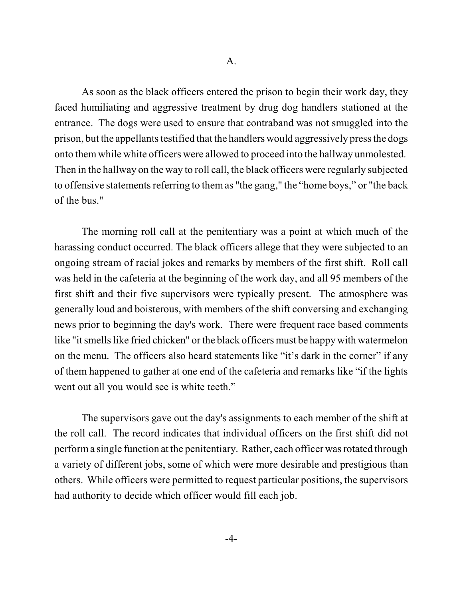As soon as the black officers entered the prison to begin their work day, they faced humiliating and aggressive treatment by drug dog handlers stationed at the entrance. The dogs were used to ensure that contraband was not smuggled into the prison, but the appellants testified that the handlers would aggressively press the dogs onto themwhile white officers were allowed to proceed into the hallway unmolested. Then in the hallway on the way to roll call, the black officers were regularly subjected to offensive statements referring to them as "the gang," the "home boys," or "the back of the bus."

The morning roll call at the penitentiary was a point at which much of the harassing conduct occurred. The black officers allege that they were subjected to an ongoing stream of racial jokes and remarks by members of the first shift. Roll call was held in the cafeteria at the beginning of the work day, and all 95 members of the first shift and their five supervisors were typically present. The atmosphere was generally loud and boisterous, with members of the shift conversing and exchanging news prior to beginning the day's work. There were frequent race based comments like "it smells like fried chicken" or the black officers must be happy with watermelon on the menu. The officers also heard statements like "it's dark in the corner" if any of them happened to gather at one end of the cafeteria and remarks like "if the lights went out all you would see is white teeth."

The supervisors gave out the day's assignments to each member of the shift at the roll call. The record indicates that individual officers on the first shift did not performa single function at the penitentiary. Rather, each officer wasrotated through a variety of different jobs, some of which were more desirable and prestigious than others. While officers were permitted to request particular positions, the supervisors had authority to decide which officer would fill each job.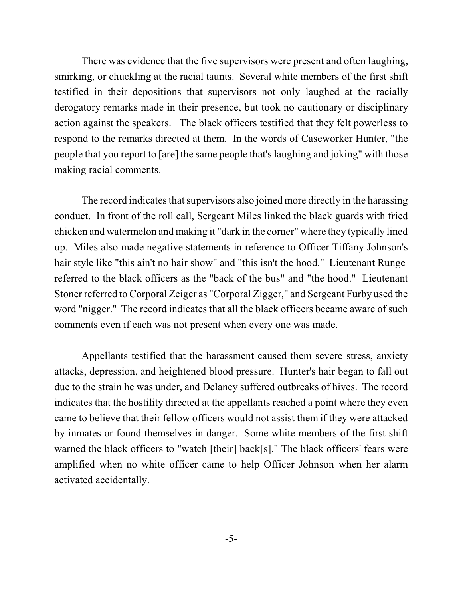There was evidence that the five supervisors were present and often laughing, smirking, or chuckling at the racial taunts. Several white members of the first shift testified in their depositions that supervisors not only laughed at the racially derogatory remarks made in their presence, but took no cautionary or disciplinary action against the speakers. The black officers testified that they felt powerless to respond to the remarks directed at them. In the words of Caseworker Hunter, "the people that you report to [are] the same people that's laughing and joking" with those making racial comments.

The record indicates that supervisors also joined more directly in the harassing conduct. In front of the roll call, Sergeant Miles linked the black guards with fried chicken and watermelon and making it "dark in the corner" where they typically lined up. Miles also made negative statements in reference to Officer Tiffany Johnson's hair style like "this ain't no hair show" and "this isn't the hood." Lieutenant Runge referred to the black officers as the "back of the bus" and "the hood." Lieutenant Stoner referred to Corporal Zeiger as "Corporal Zigger," and Sergeant Furby used the word "nigger." The record indicates that all the black officers became aware of such comments even if each was not present when every one was made.

Appellants testified that the harassment caused them severe stress, anxiety attacks, depression, and heightened blood pressure. Hunter's hair began to fall out due to the strain he was under, and Delaney suffered outbreaks of hives. The record indicates that the hostility directed at the appellants reached a point where they even came to believe that their fellow officers would not assist them if they were attacked by inmates or found themselves in danger. Some white members of the first shift warned the black officers to "watch [their] back[s]." The black officers' fears were amplified when no white officer came to help Officer Johnson when her alarm activated accidentally.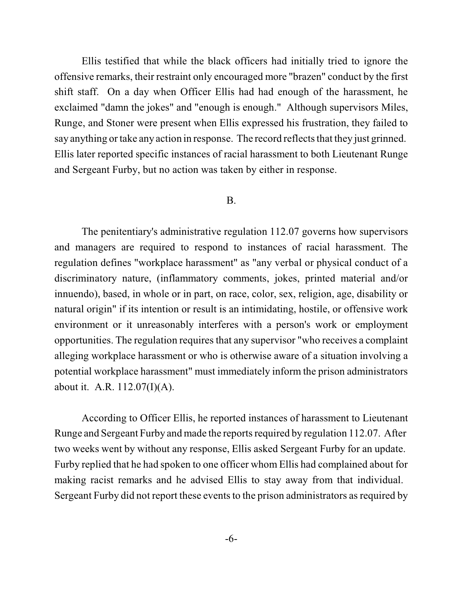Ellis testified that while the black officers had initially tried to ignore the offensive remarks, their restraint only encouraged more "brazen" conduct by the first shift staff. On a day when Officer Ellis had had enough of the harassment, he exclaimed "damn the jokes" and "enough is enough." Although supervisors Miles, Runge, and Stoner were present when Ellis expressed his frustration, they failed to say anything or take any action in response. The record reflects that they just grinned. Ellis later reported specific instances of racial harassment to both Lieutenant Runge and Sergeant Furby, but no action was taken by either in response.

### B.

The penitentiary's administrative regulation 112.07 governs how supervisors and managers are required to respond to instances of racial harassment. The regulation defines "workplace harassment" as "any verbal or physical conduct of a discriminatory nature, (inflammatory comments, jokes, printed material and/or innuendo), based, in whole or in part, on race, color, sex, religion, age, disability or natural origin" if its intention or result is an intimidating, hostile, or offensive work environment or it unreasonably interferes with a person's work or employment opportunities. The regulation requires that any supervisor "who receives a complaint alleging workplace harassment or who is otherwise aware of a situation involving a potential workplace harassment" must immediately inform the prison administrators about it. A.R. 112.07(I)(A).

According to Officer Ellis, he reported instances of harassment to Lieutenant Runge and Sergeant Furby and made the reports required by regulation 112.07. After two weeks went by without any response, Ellis asked Sergeant Furby for an update. Furby replied that he had spoken to one officer whom Ellis had complained about for making racist remarks and he advised Ellis to stay away from that individual. Sergeant Furby did not report these events to the prison administrators as required by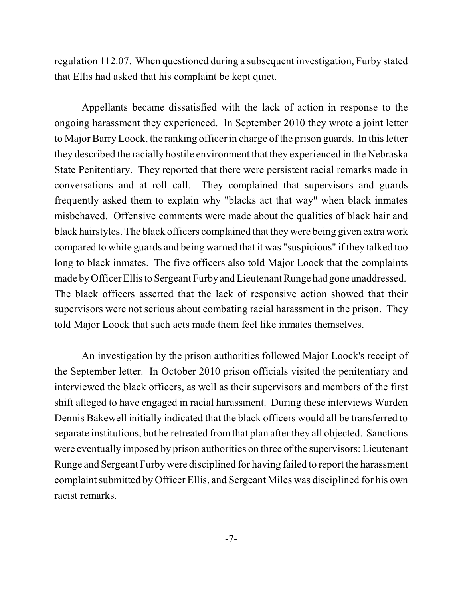regulation 112.07. When questioned during a subsequent investigation, Furby stated that Ellis had asked that his complaint be kept quiet.

Appellants became dissatisfied with the lack of action in response to the ongoing harassment they experienced. In September 2010 they wrote a joint letter to Major Barry Loock, the ranking officer in charge of the prison guards. In thisletter they described the racially hostile environment that they experienced in the Nebraska State Penitentiary. They reported that there were persistent racial remarks made in conversations and at roll call. They complained that supervisors and guards frequently asked them to explain why "blacks act that way" when black inmates misbehaved. Offensive comments were made about the qualities of black hair and black hairstyles. The black officers complained that they were being given extra work compared to white guards and being warned that it was "suspicious" if they talked too long to black inmates. The five officers also told Major Loock that the complaints made by Officer Ellis to Sergeant Furby and Lieutenant Runge had gone unaddressed. The black officers asserted that the lack of responsive action showed that their supervisors were not serious about combating racial harassment in the prison. They told Major Loock that such acts made them feel like inmates themselves.

An investigation by the prison authorities followed Major Loock's receipt of the September letter. In October 2010 prison officials visited the penitentiary and interviewed the black officers, as well as their supervisors and members of the first shift alleged to have engaged in racial harassment. During these interviews Warden Dennis Bakewell initially indicated that the black officers would all be transferred to separate institutions, but he retreated from that plan after they all objected. Sanctions were eventually imposed by prison authorities on three of the supervisors: Lieutenant Runge and Sergeant Furbywere disciplined for having failed to report the harassment complaint submitted by Officer Ellis, and Sergeant Miles was disciplined for his own racist remarks.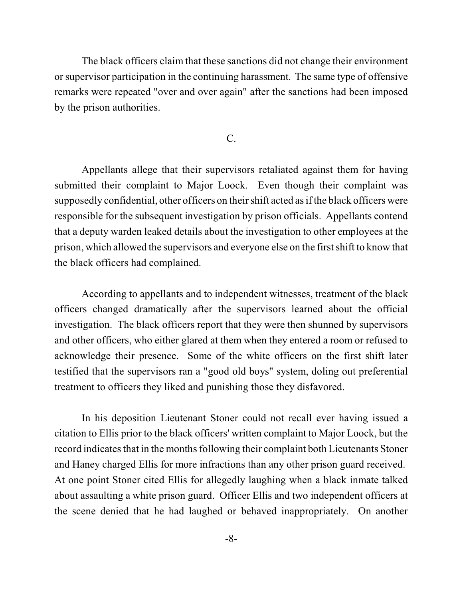The black officers claim that these sanctions did not change their environment or supervisor participation in the continuing harassment. The same type of offensive remarks were repeated "over and over again" after the sanctions had been imposed by the prison authorities.

#### C.

Appellants allege that their supervisors retaliated against them for having submitted their complaint to Major Loock. Even though their complaint was supposedly confidential, other officers on their shift acted asif the black officers were responsible for the subsequent investigation by prison officials. Appellants contend that a deputy warden leaked details about the investigation to other employees at the prison, which allowed the supervisors and everyone else on the firstshift to know that the black officers had complained.

According to appellants and to independent witnesses, treatment of the black officers changed dramatically after the supervisors learned about the official investigation. The black officers report that they were then shunned by supervisors and other officers, who either glared at them when they entered a room or refused to acknowledge their presence. Some of the white officers on the first shift later testified that the supervisors ran a "good old boys" system, doling out preferential treatment to officers they liked and punishing those they disfavored.

In his deposition Lieutenant Stoner could not recall ever having issued a citation to Ellis prior to the black officers' written complaint to Major Loock, but the record indicates that in the months following their complaint both Lieutenants Stoner and Haney charged Ellis for more infractions than any other prison guard received. At one point Stoner cited Ellis for allegedly laughing when a black inmate talked about assaulting a white prison guard. Officer Ellis and two independent officers at the scene denied that he had laughed or behaved inappropriately. On another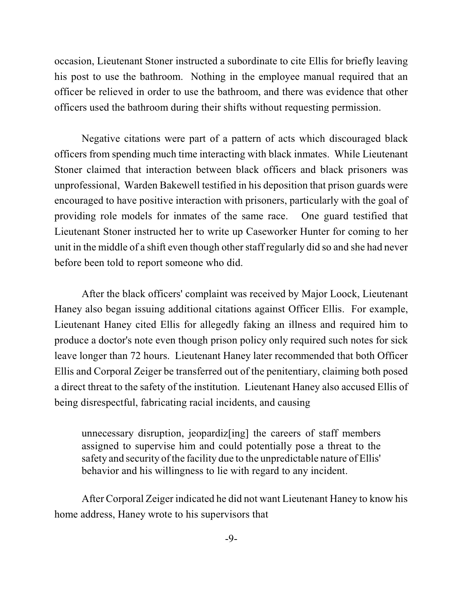occasion, Lieutenant Stoner instructed a subordinate to cite Ellis for briefly leaving his post to use the bathroom. Nothing in the employee manual required that an officer be relieved in order to use the bathroom, and there was evidence that other officers used the bathroom during their shifts without requesting permission.

Negative citations were part of a pattern of acts which discouraged black officers from spending much time interacting with black inmates. While Lieutenant Stoner claimed that interaction between black officers and black prisoners was unprofessional, Warden Bakewell testified in his deposition that prison guards were encouraged to have positive interaction with prisoners, particularly with the goal of providing role models for inmates of the same race. One guard testified that Lieutenant Stoner instructed her to write up Caseworker Hunter for coming to her unit in the middle of a shift even though other staff regularly did so and she had never before been told to report someone who did.

After the black officers' complaint was received by Major Loock, Lieutenant Haney also began issuing additional citations against Officer Ellis. For example, Lieutenant Haney cited Ellis for allegedly faking an illness and required him to produce a doctor's note even though prison policy only required such notes for sick leave longer than 72 hours. Lieutenant Haney later recommended that both Officer Ellis and Corporal Zeiger be transferred out of the penitentiary, claiming both posed a direct threat to the safety of the institution. Lieutenant Haney also accused Ellis of being disrespectful, fabricating racial incidents, and causing

unnecessary disruption, jeopardiz[ing] the careers of staff members assigned to supervise him and could potentially pose a threat to the safety and security of the facility due to the unpredictable nature of Ellis' behavior and his willingness to lie with regard to any incident.

After Corporal Zeiger indicated he did not want Lieutenant Haney to know his home address, Haney wrote to his supervisors that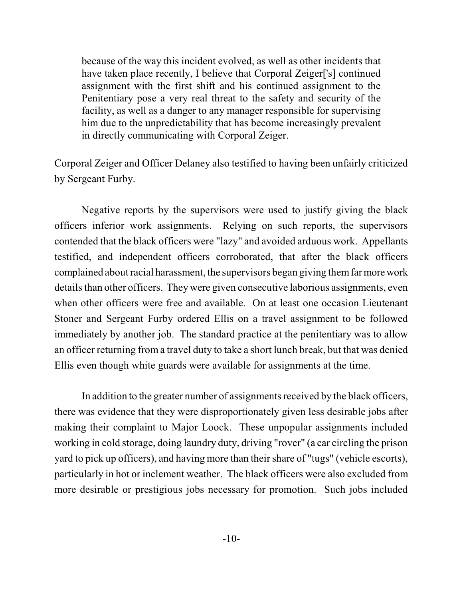because of the way this incident evolved, as well as other incidents that have taken place recently, I believe that Corporal Zeiger['s] continued assignment with the first shift and his continued assignment to the Penitentiary pose a very real threat to the safety and security of the facility, as well as a danger to any manager responsible for supervising him due to the unpredictability that has become increasingly prevalent in directly communicating with Corporal Zeiger.

Corporal Zeiger and Officer Delaney also testified to having been unfairly criticized by Sergeant Furby.

Negative reports by the supervisors were used to justify giving the black officers inferior work assignments. Relying on such reports, the supervisors contended that the black officers were "lazy" and avoided arduous work. Appellants testified, and independent officers corroborated, that after the black officers complained about racial harassment, the supervisors began giving themfar more work details than other officers. They were given consecutive laborious assignments, even when other officers were free and available. On at least one occasion Lieutenant Stoner and Sergeant Furby ordered Ellis on a travel assignment to be followed immediately by another job. The standard practice at the penitentiary was to allow an officer returning from a travel duty to take a short lunch break, but that was denied Ellis even though white guards were available for assignments at the time.

In addition to the greater number of assignments received by the black officers, there was evidence that they were disproportionately given less desirable jobs after making their complaint to Major Loock. These unpopular assignments included working in cold storage, doing laundry duty, driving "rover" (a car circling the prison yard to pick up officers), and having more than their share of "tugs" (vehicle escorts), particularly in hot or inclement weather. The black officers were also excluded from more desirable or prestigious jobs necessary for promotion. Such jobs included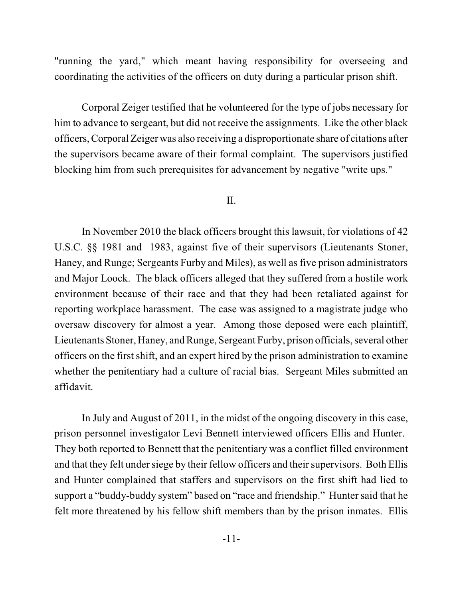"running the yard," which meant having responsibility for overseeing and coordinating the activities of the officers on duty during a particular prison shift.

Corporal Zeiger testified that he volunteered for the type of jobs necessary for him to advance to sergeant, but did not receive the assignments. Like the other black officers, Corporal Zeiger was also receiving a disproportionate share of citations after the supervisors became aware of their formal complaint. The supervisors justified blocking him from such prerequisites for advancement by negative "write ups."

#### II.

In November 2010 the black officers brought this lawsuit, for violations of 42 U.S.C. §§ 1981 and 1983, against five of their supervisors (Lieutenants Stoner, Haney, and Runge; Sergeants Furby and Miles), as well as five prison administrators and Major Loock. The black officers alleged that they suffered from a hostile work environment because of their race and that they had been retaliated against for reporting workplace harassment. The case was assigned to a magistrate judge who oversaw discovery for almost a year. Among those deposed were each plaintiff, Lieutenants Stoner, Haney, and Runge, Sergeant Furby, prison officials, several other officers on the first shift, and an expert hired by the prison administration to examine whether the penitentiary had a culture of racial bias. Sergeant Miles submitted an affidavit.

In July and August of 2011, in the midst of the ongoing discovery in this case, prison personnel investigator Levi Bennett interviewed officers Ellis and Hunter. They both reported to Bennett that the penitentiary was a conflict filled environment and that they felt under siege by their fellow officers and their supervisors. Both Ellis and Hunter complained that staffers and supervisors on the first shift had lied to support a "buddy-buddy system" based on "race and friendship." Hunter said that he felt more threatened by his fellow shift members than by the prison inmates. Ellis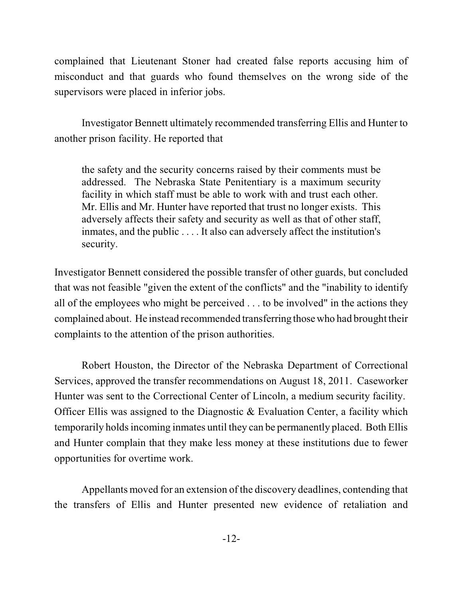complained that Lieutenant Stoner had created false reports accusing him of misconduct and that guards who found themselves on the wrong side of the supervisors were placed in inferior jobs.

Investigator Bennett ultimately recommended transferring Ellis and Hunter to another prison facility. He reported that

the safety and the security concerns raised by their comments must be addressed. The Nebraska State Penitentiary is a maximum security facility in which staff must be able to work with and trust each other. Mr. Ellis and Mr. Hunter have reported that trust no longer exists. This adversely affects their safety and security as well as that of other staff, inmates, and the public . . . . It also can adversely affect the institution's security.

Investigator Bennett considered the possible transfer of other guards, but concluded that was not feasible "given the extent of the conflicts" and the "inability to identify all of the employees who might be perceived . . . to be involved" in the actions they complained about. He instead recommended transferring those who had brought their complaints to the attention of the prison authorities.

Robert Houston, the Director of the Nebraska Department of Correctional Services, approved the transfer recommendations on August 18, 2011. Caseworker Hunter was sent to the Correctional Center of Lincoln, a medium security facility. Officer Ellis was assigned to the Diagnostic & Evaluation Center, a facility which temporarily holds incoming inmates until they can be permanently placed. Both Ellis and Hunter complain that they make less money at these institutions due to fewer opportunities for overtime work.

Appellants moved for an extension of the discovery deadlines, contending that the transfers of Ellis and Hunter presented new evidence of retaliation and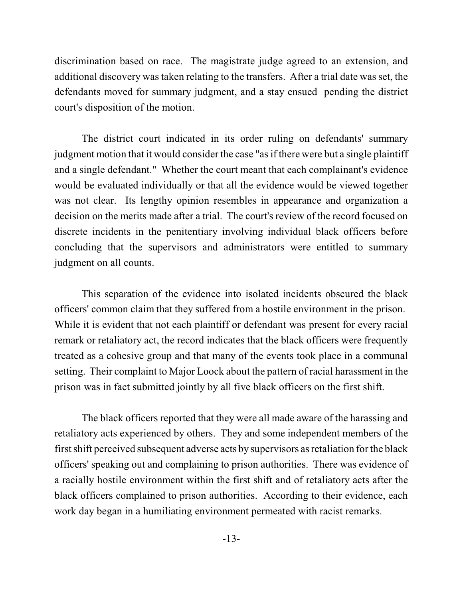discrimination based on race. The magistrate judge agreed to an extension, and additional discovery was taken relating to the transfers. After a trial date was set, the defendants moved for summary judgment, and a stay ensued pending the district court's disposition of the motion.

The district court indicated in its order ruling on defendants' summary judgment motion that it would consider the case "as if there were but a single plaintiff and a single defendant." Whether the court meant that each complainant's evidence would be evaluated individually or that all the evidence would be viewed together was not clear. Its lengthy opinion resembles in appearance and organization a decision on the merits made after a trial. The court's review of the record focused on discrete incidents in the penitentiary involving individual black officers before concluding that the supervisors and administrators were entitled to summary judgment on all counts.

This separation of the evidence into isolated incidents obscured the black officers' common claim that they suffered from a hostile environment in the prison. While it is evident that not each plaintiff or defendant was present for every racial remark or retaliatory act, the record indicates that the black officers were frequently treated as a cohesive group and that many of the events took place in a communal setting. Their complaint to Major Loock about the pattern of racial harassment in the prison was in fact submitted jointly by all five black officers on the first shift.

The black officers reported that they were all made aware of the harassing and retaliatory acts experienced by others. They and some independent members of the first shift perceived subsequent adverse acts by supervisors as retaliation for the black officers' speaking out and complaining to prison authorities. There was evidence of a racially hostile environment within the first shift and of retaliatory acts after the black officers complained to prison authorities. According to their evidence, each work day began in a humiliating environment permeated with racist remarks.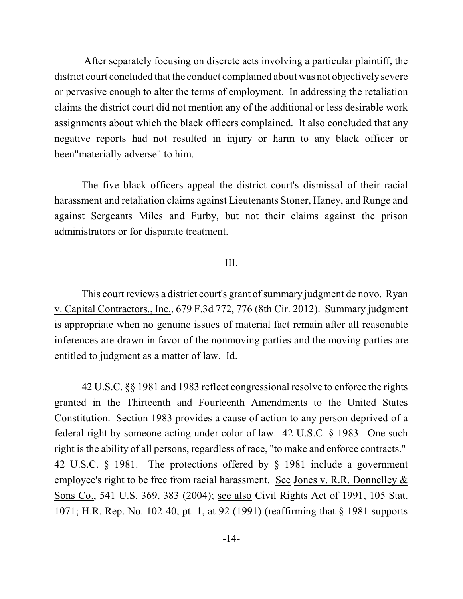After separately focusing on discrete acts involving a particular plaintiff, the district court concluded that the conduct complained about was not objectively severe or pervasive enough to alter the terms of employment. In addressing the retaliation claims the district court did not mention any of the additional or less desirable work assignments about which the black officers complained. It also concluded that any negative reports had not resulted in injury or harm to any black officer or been"materially adverse" to him.

The five black officers appeal the district court's dismissal of their racial harassment and retaliation claims against Lieutenants Stoner, Haney, and Runge and against Sergeants Miles and Furby, but not their claims against the prison administrators or for disparate treatment.

#### III.

This court reviews a district court's grant of summary judgment de novo. Ryan v. Capital Contractors., Inc., 679 F.3d 772, 776 (8th Cir. 2012). Summary judgment is appropriate when no genuine issues of material fact remain after all reasonable inferences are drawn in favor of the nonmoving parties and the moving parties are entitled to judgment as a matter of law. Id.

42 U.S.C. §§ 1981 and 1983 reflect congressional resolve to enforce the rights granted in the Thirteenth and Fourteenth Amendments to the United States Constitution. Section 1983 provides a cause of action to any person deprived of a federal right by someone acting under color of law. 42 U.S.C. § 1983. One such right is the ability of all persons, regardless of race, "to make and enforce contracts." 42 U.S.C. § 1981. The protections offered by § 1981 include a government employee's right to be free from racial harassment. See Jones v. R.R. Donnelley & Sons Co., 541 U.S. 369, 383 (2004); see also Civil Rights Act of 1991, 105 Stat. 1071; H.R. Rep. No. 102-40, pt. 1, at 92 (1991) (reaffirming that § 1981 supports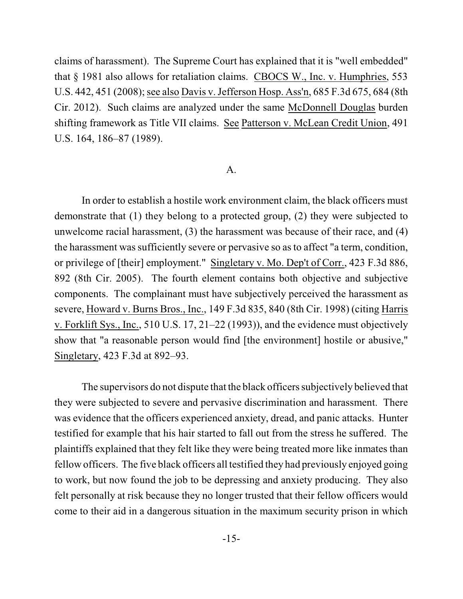claims of harassment). The Supreme Court has explained that it is "well embedded" that § 1981 also allows for retaliation claims. CBOCS W., Inc. v. Humphries, 553 U.S. 442, 451 (2008); see also Davis v. Jefferson Hosp. Ass'n, 685 F.3d 675, 684 (8th Cir. 2012). Such claims are analyzed under the same McDonnell Douglas burden shifting framework as Title VII claims. See Patterson v. McLean Credit Union, 491 U.S. 164, 186–87 (1989).

#### A.

In order to establish a hostile work environment claim, the black officers must demonstrate that (1) they belong to a protected group, (2) they were subjected to unwelcome racial harassment, (3) the harassment was because of their race, and (4) the harassment was sufficiently severe or pervasive so as to affect "a term, condition, or privilege of [their] employment." Singletary v. Mo. Dep't of Corr., 423 F.3d 886, 892 (8th Cir. 2005). The fourth element contains both objective and subjective components. The complainant must have subjectively perceived the harassment as severe, Howard v. Burns Bros., Inc., 149 F.3d 835, 840 (8th Cir. 1998) (citing Harris v. Forklift Sys., Inc., 510 U.S. 17, 21–22 (1993)), and the evidence must objectively show that "a reasonable person would find [the environment] hostile or abusive," Singletary, 423 F.3d at 892–93.

The supervisors do not dispute that the black officers subjectively believed that they were subjected to severe and pervasive discrimination and harassment. There was evidence that the officers experienced anxiety, dread, and panic attacks. Hunter testified for example that his hair started to fall out from the stress he suffered. The plaintiffs explained that they felt like they were being treated more like inmates than fellow officers. The five black officers all testified they had previously enjoyed going to work, but now found the job to be depressing and anxiety producing. They also felt personally at risk because they no longer trusted that their fellow officers would come to their aid in a dangerous situation in the maximum security prison in which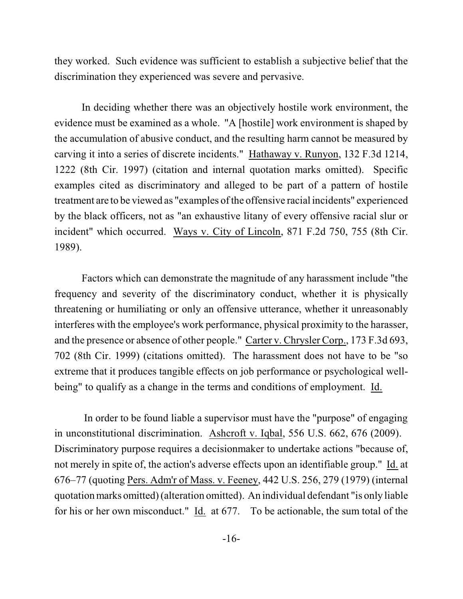they worked. Such evidence was sufficient to establish a subjective belief that the discrimination they experienced was severe and pervasive.

In deciding whether there was an objectively hostile work environment, the evidence must be examined as a whole. "A [hostile] work environment is shaped by the accumulation of abusive conduct, and the resulting harm cannot be measured by carving it into a series of discrete incidents." Hathaway v. Runyon, 132 F.3d 1214, 1222 (8th Cir. 1997) (citation and internal quotation marks omitted). Specific examples cited as discriminatory and alleged to be part of a pattern of hostile treatment are to be viewed as "examples ofthe offensive racial incidents" experienced by the black officers, not as "an exhaustive litany of every offensive racial slur or incident" which occurred. Ways v. City of Lincoln, 871 F.2d 750, 755 (8th Cir. 1989).

Factors which can demonstrate the magnitude of any harassment include "the frequency and severity of the discriminatory conduct, whether it is physically threatening or humiliating or only an offensive utterance, whether it unreasonably interferes with the employee's work performance, physical proximity to the harasser, and the presence or absence of other people." Carter v. Chrysler Corp., 173 F.3d 693, 702 (8th Cir. 1999) (citations omitted). The harassment does not have to be "so extreme that it produces tangible effects on job performance or psychological wellbeing" to qualify as a change in the terms and conditions of employment. Id.

In order to be found liable a supervisor must have the "purpose" of engaging in unconstitutional discrimination. Ashcroft v. Iqbal, 556 U.S. 662, 676 (2009). Discriminatory purpose requires a decisionmaker to undertake actions "because of, not merely in spite of, the action's adverse effects upon an identifiable group." Id. at 676–77 (quoting Pers. Adm'r of Mass. v. Feeney, 442 U.S. 256, 279 (1979) (internal quotation marks omitted)(alteration omitted). An individual defendant "is only liable for his or her own misconduct." Id. at 677. To be actionable, the sum total of the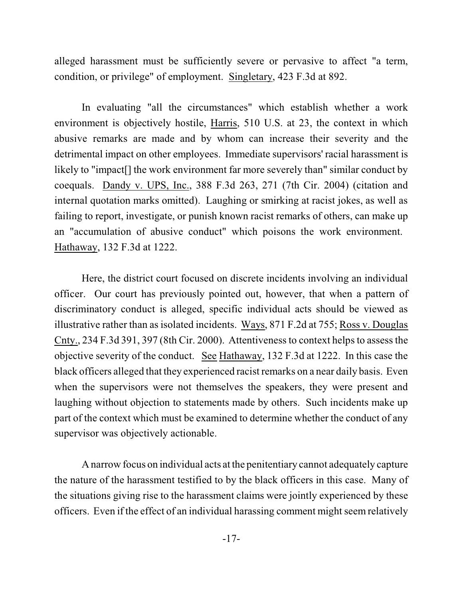alleged harassment must be sufficiently severe or pervasive to affect "a term, condition, or privilege" of employment. Singletary, 423 F.3d at 892.

In evaluating "all the circumstances" which establish whether a work environment is objectively hostile, Harris, 510 U.S. at 23, the context in which abusive remarks are made and by whom can increase their severity and the detrimental impact on other employees. Immediate supervisors' racial harassment is likely to "impact[] the work environment far more severely than" similar conduct by coequals. Dandy v. UPS, Inc., 388 F.3d 263, 271 (7th Cir. 2004) (citation and internal quotation marks omitted). Laughing or smirking at racist jokes, as well as failing to report, investigate, or punish known racist remarks of others, can make up an "accumulation of abusive conduct" which poisons the work environment. Hathaway, 132 F.3d at 1222.

Here, the district court focused on discrete incidents involving an individual officer. Our court has previously pointed out, however, that when a pattern of discriminatory conduct is alleged, specific individual acts should be viewed as illustrative rather than as isolated incidents. Ways, 871 F.2d at 755; Ross v. Douglas Cnty., 234 F.3d 391, 397 (8th Cir. 2000). Attentivenessto context helps to assessthe objective severity of the conduct. See Hathaway, 132 F.3d at 1222. In this case the black officers alleged that they experienced racist remarks on a near daily basis. Even when the supervisors were not themselves the speakers, they were present and laughing without objection to statements made by others. Such incidents make up part of the context which must be examined to determine whether the conduct of any supervisor was objectively actionable.

A narrow focus on individual acts at the penitentiary cannot adequately capture the nature of the harassment testified to by the black officers in this case. Many of the situations giving rise to the harassment claims were jointly experienced by these officers. Even if the effect of an individual harassing comment might seem relatively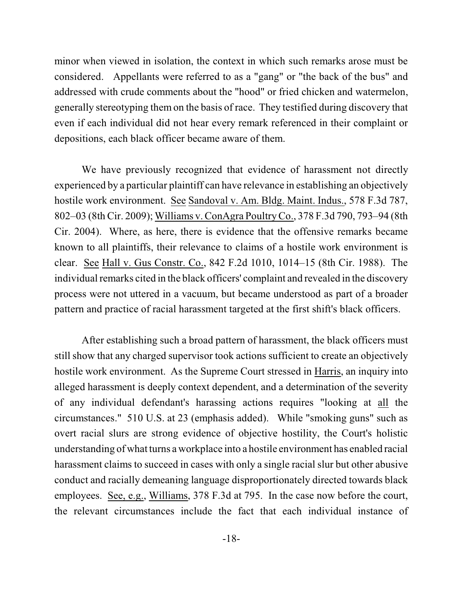minor when viewed in isolation, the context in which such remarks arose must be considered. Appellants were referred to as a "gang" or "the back of the bus" and addressed with crude comments about the "hood" or fried chicken and watermelon, generally stereotyping them on the basis of race. They testified during discovery that even if each individual did not hear every remark referenced in their complaint or depositions, each black officer became aware of them.

We have previously recognized that evidence of harassment not directly experienced by a particular plaintiff can have relevance in establishing an objectively hostile work environment. See Sandoval v. Am. Bldg. Maint. Indus., 578 F.3d 787, 802–03 (8th Cir. 2009); Williams v. ConAgra Poultry Co., 378 F.3d 790, 793–94 (8th Cir. 2004). Where, as here, there is evidence that the offensive remarks became known to all plaintiffs, their relevance to claims of a hostile work environment is clear. See Hall v. Gus Constr. Co., 842 F.2d 1010, 1014–15 (8th Cir. 1988). The individual remarks cited in the black officers' complaint and revealed in the discovery process were not uttered in a vacuum, but became understood as part of a broader pattern and practice of racial harassment targeted at the first shift's black officers.

After establishing such a broad pattern of harassment, the black officers must still show that any charged supervisor took actions sufficient to create an objectively hostile work environment. As the Supreme Court stressed in Harris, an inquiry into alleged harassment is deeply context dependent, and a determination of the severity of any individual defendant's harassing actions requires "looking at all the circumstances." 510 U.S. at 23 (emphasis added). While "smoking guns" such as overt racial slurs are strong evidence of objective hostility, the Court's holistic understanding of what turns a workplace into a hostile environment has enabled racial harassment claims to succeed in cases with only a single racial slur but other abusive conduct and racially demeaning language disproportionately directed towards black employees. See, e.g., Williams, 378 F.3d at 795. In the case now before the court, the relevant circumstances include the fact that each individual instance of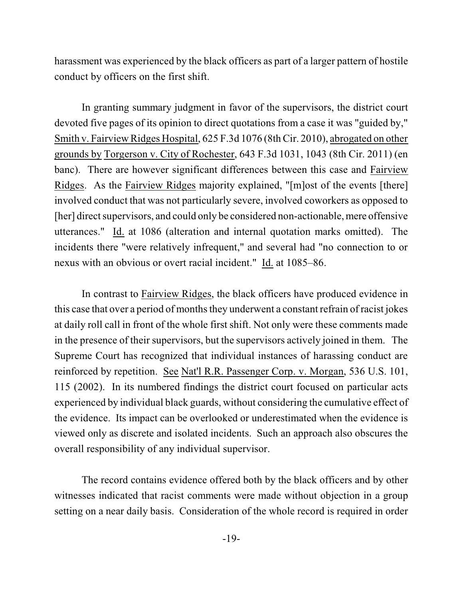harassment was experienced by the black officers as part of a larger pattern of hostile conduct by officers on the first shift.

In granting summary judgment in favor of the supervisors, the district court devoted five pages of its opinion to direct quotations from a case it was "guided by," Smith v. Fairview Ridges Hospital, 625 F.3d 1076 (8thCir. 2010), abrogated on other grounds by Torgerson v. City of Rochester, 643 F.3d 1031, 1043 (8th Cir. 2011) (en banc). There are however significant differences between this case and Fairview Ridges. As the Fairview Ridges majority explained, "[m]ost of the events [there] involved conduct that was not particularly severe, involved coworkers as opposed to [her] direct supervisors, and could only be considered non-actionable, mere offensive utterances." Id. at 1086 (alteration and internal quotation marks omitted). The incidents there "were relatively infrequent," and several had "no connection to or nexus with an obvious or overt racial incident." Id. at 1085–86.

In contrast to Fairview Ridges, the black officers have produced evidence in this case that over a period of months they underwent a constant refrain of racist jokes at daily roll call in front of the whole first shift. Not only were these comments made in the presence of their supervisors, but the supervisors actively joined in them. The Supreme Court has recognized that individual instances of harassing conduct are reinforced by repetition. See Nat'l R.R. Passenger Corp. v. Morgan, 536 U.S. 101, 115 (2002). In its numbered findings the district court focused on particular acts experienced by individual black guards, without considering the cumulative effect of the evidence. Its impact can be overlooked or underestimated when the evidence is viewed only as discrete and isolated incidents. Such an approach also obscures the overall responsibility of any individual supervisor.

The record contains evidence offered both by the black officers and by other witnesses indicated that racist comments were made without objection in a group setting on a near daily basis. Consideration of the whole record is required in order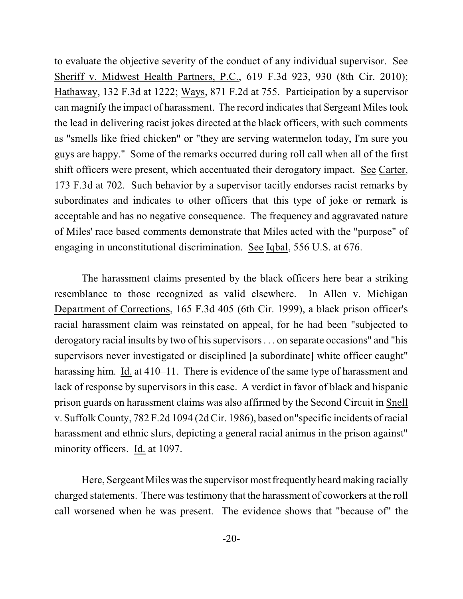to evaluate the objective severity of the conduct of any individual supervisor. See Sheriff v. Midwest Health Partners, P.C., 619 F.3d 923, 930 (8th Cir. 2010); Hathaway, 132 F.3d at 1222; Ways, 871 F.2d at 755. Participation by a supervisor can magnify the impact of harassment. The record indicates that Sergeant Miles took the lead in delivering racist jokes directed at the black officers, with such comments as "smells like fried chicken" or "they are serving watermelon today, I'm sure you guys are happy." Some of the remarks occurred during roll call when all of the first shift officers were present, which accentuated their derogatory impact. See Carter, 173 F.3d at 702. Such behavior by a supervisor tacitly endorses racist remarks by subordinates and indicates to other officers that this type of joke or remark is acceptable and has no negative consequence. The frequency and aggravated nature of Miles' race based comments demonstrate that Miles acted with the "purpose" of engaging in unconstitutional discrimination. See Iqbal, 556 U.S. at 676.

The harassment claims presented by the black officers here bear a striking resemblance to those recognized as valid elsewhere. In Allen v. Michigan Department of Corrections, 165 F.3d 405 (6th Cir. 1999), a black prison officer's racial harassment claim was reinstated on appeal, for he had been "subjected to derogatory racial insults by two of his supervisors . . . on separate occasions" and "his supervisors never investigated or disciplined [a subordinate] white officer caught" harassing him. Id. at 410–11. There is evidence of the same type of harassment and lack of response by supervisors in this case. A verdict in favor of black and hispanic prison guards on harassment claims was also affirmed by the Second Circuit in Snell v. SuffolkCounty, 782 F.2d 1094 (2d Cir. 1986), based on"specific incidents ofracial harassment and ethnic slurs, depicting a general racial animus in the prison against" minority officers. Id. at 1097.

Here, Sergeant Miles was the supervisor most frequently heard making racially charged statements. There wastestimony that the harassment of coworkers at the roll call worsened when he was present. The evidence shows that "because of" the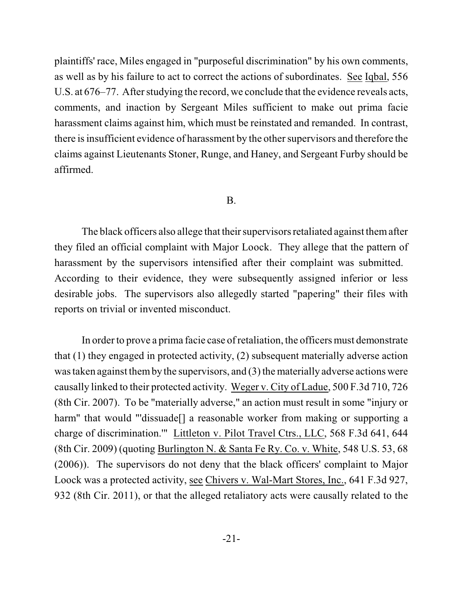plaintiffs' race, Miles engaged in "purposeful discrimination" by his own comments, as well as by his failure to act to correct the actions of subordinates. See Iqbal, 556 U.S. at 676–77. After studying the record, we conclude that the evidence reveals acts, comments, and inaction by Sergeant Miles sufficient to make out prima facie harassment claims against him, which must be reinstated and remanded. In contrast, there is insufficient evidence of harassment by the other supervisors and therefore the claims against Lieutenants Stoner, Runge, and Haney, and Sergeant Furby should be affirmed.

## B.

The black officers also allege that their supervisors retaliated against themafter they filed an official complaint with Major Loock. They allege that the pattern of harassment by the supervisors intensified after their complaint was submitted. According to their evidence, they were subsequently assigned inferior or less desirable jobs. The supervisors also allegedly started "papering" their files with reports on trivial or invented misconduct.

In order to prove a prima facie case of retaliation, the officers must demonstrate that (1) they engaged in protected activity, (2) subsequent materially adverse action wastaken against themby the supervisors, and (3) the materially adverse actions were causally linked to their protected activity. Weger v. City of Ladue, 500 F.3d 710, 726 (8th Cir. 2007). To be "materially adverse," an action must result in some "injury or harm" that would "'dissuade<sup>[]</sup> a reasonable worker from making or supporting a charge of discrimination.'" Littleton v. Pilot Travel Ctrs., LLC, 568 F.3d 641, 644 (8th Cir. 2009) (quoting Burlington N. & Santa Fe Ry. Co. v. White, 548 U.S. 53, 68 (2006)). The supervisors do not deny that the black officers' complaint to Major Loock was a protected activity, see Chivers v. Wal-Mart Stores, Inc., 641 F.3d 927, 932 (8th Cir. 2011), or that the alleged retaliatory acts were causally related to the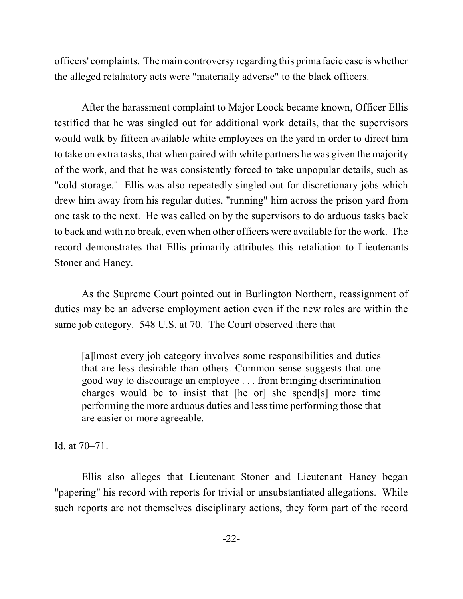officers' complaints. The main controversy regarding this prima facie case is whether the alleged retaliatory acts were "materially adverse" to the black officers.

After the harassment complaint to Major Loock became known, Officer Ellis testified that he was singled out for additional work details, that the supervisors would walk by fifteen available white employees on the yard in order to direct him to take on extra tasks, that when paired with white partners he was given the majority of the work, and that he was consistently forced to take unpopular details, such as "cold storage." Ellis was also repeatedly singled out for discretionary jobs which drew him away from his regular duties, "running" him across the prison yard from one task to the next. He was called on by the supervisors to do arduous tasks back to back and with no break, even when other officers were available for the work. The record demonstrates that Ellis primarily attributes this retaliation to Lieutenants Stoner and Haney.

As the Supreme Court pointed out in Burlington Northern, reassignment of duties may be an adverse employment action even if the new roles are within the same job category. 548 U.S. at 70. The Court observed there that

[a]lmost every job category involves some responsibilities and duties that are less desirable than others. Common sense suggests that one good way to discourage an employee . . . from bringing discrimination charges would be to insist that [he or] she spend[s] more time performing the more arduous duties and less time performing those that are easier or more agreeable.

Id. at 70–71.

Ellis also alleges that Lieutenant Stoner and Lieutenant Haney began "papering" his record with reports for trivial or unsubstantiated allegations. While such reports are not themselves disciplinary actions, they form part of the record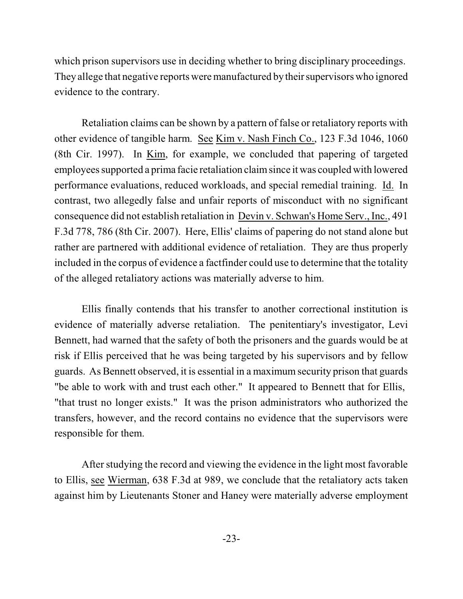which prison supervisors use in deciding whether to bring disciplinary proceedings. They allege that negative reports were manufactured by their supervisors who ignored evidence to the contrary.

Retaliation claims can be shown by a pattern of false or retaliatory reports with other evidence of tangible harm. See Kim v. Nash Finch Co., 123 F.3d 1046, 1060 (8th Cir. 1997). In Kim, for example, we concluded that papering of targeted employees supported a prima facie retaliation claimsince it was coupled with lowered performance evaluations, reduced workloads, and special remedial training. Id. In contrast, two allegedly false and unfair reports of misconduct with no significant consequence did not establish retaliation in Devin v. Schwan's Home Serv., Inc., 491 F.3d 778, 786 (8th Cir. 2007). Here, Ellis' claims of papering do not stand alone but rather are partnered with additional evidence of retaliation. They are thus properly included in the corpus of evidence a factfinder could use to determine that the totality of the alleged retaliatory actions was materially adverse to him.

Ellis finally contends that his transfer to another correctional institution is evidence of materially adverse retaliation. The penitentiary's investigator, Levi Bennett, had warned that the safety of both the prisoners and the guards would be at risk if Ellis perceived that he was being targeted by his supervisors and by fellow guards. As Bennett observed, it is essential in a maximum security prison that guards "be able to work with and trust each other." It appeared to Bennett that for Ellis, "that trust no longer exists." It was the prison administrators who authorized the transfers, however, and the record contains no evidence that the supervisors were responsible for them.

After studying the record and viewing the evidence in the light most favorable to Ellis, see Wierman, 638 F.3d at 989, we conclude that the retaliatory acts taken against him by Lieutenants Stoner and Haney were materially adverse employment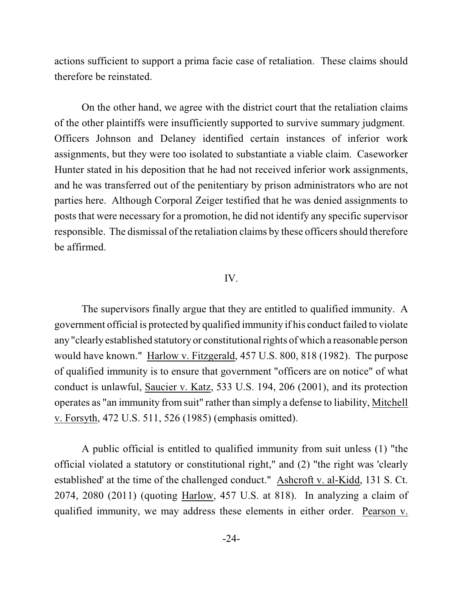actions sufficient to support a prima facie case of retaliation. These claims should therefore be reinstated.

On the other hand, we agree with the district court that the retaliation claims of the other plaintiffs were insufficiently supported to survive summary judgment. Officers Johnson and Delaney identified certain instances of inferior work assignments, but they were too isolated to substantiate a viable claim. Caseworker Hunter stated in his deposition that he had not received inferior work assignments, and he was transferred out of the penitentiary by prison administrators who are not parties here. Although Corporal Zeiger testified that he was denied assignments to posts that were necessary for a promotion, he did not identify any specific supervisor responsible. The dismissal of the retaliation claims by these officers should therefore be affirmed.

#### IV.

The supervisors finally argue that they are entitled to qualified immunity. A government official is protected by qualified immunity if his conduct failed to violate any "clearly established statutory or constitutionalrights of which a reasonable person would have known." Harlow v. Fitzgerald, 457 U.S. 800, 818 (1982). The purpose of qualified immunity is to ensure that government "officers are on notice" of what conduct is unlawful, Saucier v. Katz, 533 U.S. 194, 206 (2001), and its protection operates as "an immunity from suit" rather than simply a defense to liability, Mitchell v. Forsyth, 472 U.S. 511, 526 (1985) (emphasis omitted).

A public official is entitled to qualified immunity from suit unless (1) "the official violated a statutory or constitutional right," and (2) "the right was 'clearly established' at the time of the challenged conduct." Ashcroft v. al-Kidd, 131 S. Ct. 2074, 2080 (2011) (quoting Harlow, 457 U.S. at 818). In analyzing a claim of qualified immunity, we may address these elements in either order. Pearson v.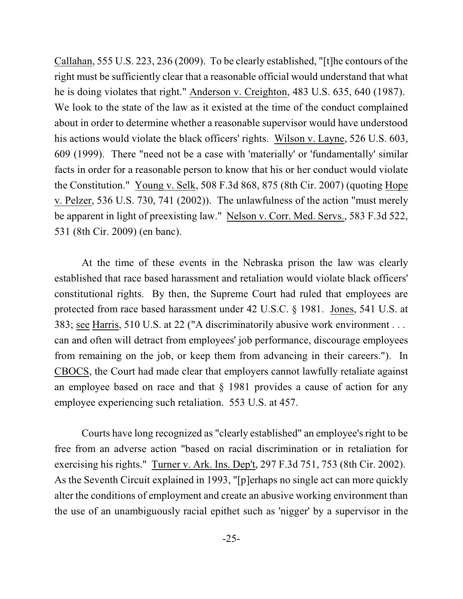Callahan, 555 U.S. 223, 236 (2009). To be clearly established, "[t]he contours of the right must be sufficiently clear that a reasonable official would understand that what he is doing violates that right." Anderson v. Creighton, 483 U.S. 635, 640 (1987). We look to the state of the law as it existed at the time of the conduct complained about in order to determine whether a reasonable supervisor would have understood his actions would violate the black officers' rights. Wilson v. Layne, 526 U.S. 603, 609 (1999). There "need not be a case with 'materially' or 'fundamentally' similar facts in order for a reasonable person to know that his or her conduct would violate the Constitution." Young v. Selk, 508 F.3d 868, 875 (8th Cir. 2007) (quoting Hope v. Pelzer, 536 U.S. 730, 741 (2002)). The unlawfulness of the action "must merely be apparent in light of preexisting law." Nelson v. Corr. Med. Servs., 583 F.3d 522, 531 (8th Cir. 2009) (en banc).

At the time of these events in the Nebraska prison the law was clearly established that race based harassment and retaliation would violate black officers' constitutional rights. By then, the Supreme Court had ruled that employees are protected from race based harassment under 42 U.S.C. § 1981. Jones, 541 U.S. at 383; see Harris, 510 U.S. at 22 ("A discriminatorily abusive work environment . . . can and often will detract from employees' job performance, discourage employees from remaining on the job, or keep them from advancing in their careers."). In CBOCS, the Court had made clear that employers cannot lawfully retaliate against an employee based on race and that § 1981 provides a cause of action for any employee experiencing such retaliation. 553 U.S. at 457.

Courts have long recognized as "clearly established" an employee's right to be free from an adverse action "based on racial discrimination or in retaliation for exercising his rights." Turner v. Ark. Ins. Dep't, 297 F.3d 751, 753 (8th Cir. 2002). As the Seventh Circuit explained in 1993, "[p]erhaps no single act can more quickly alter the conditions of employment and create an abusive working environment than the use of an unambiguously racial epithet such as 'nigger' by a supervisor in the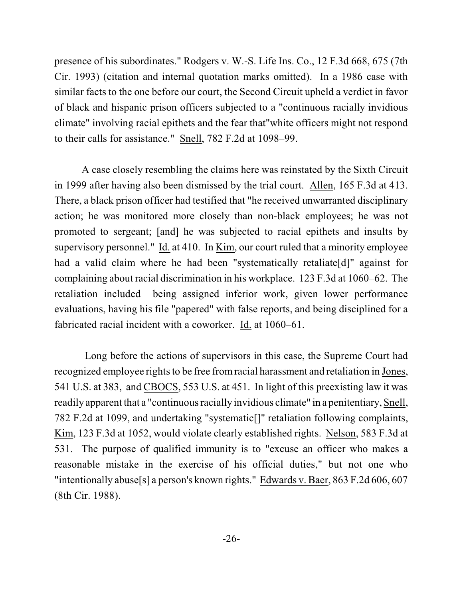presence of his subordinates." Rodgers v. W.-S. Life Ins. Co., 12 F.3d 668, 675 (7th Cir. 1993) (citation and internal quotation marks omitted). In a 1986 case with similar facts to the one before our court, the Second Circuit upheld a verdict in favor of black and hispanic prison officers subjected to a "continuous racially invidious climate" involving racial epithets and the fear that"white officers might not respond to their calls for assistance." Snell, 782 F.2d at 1098–99.

A case closely resembling the claims here was reinstated by the Sixth Circuit in 1999 after having also been dismissed by the trial court. Allen, 165 F.3d at 413. There, a black prison officer had testified that "he received unwarranted disciplinary action; he was monitored more closely than non-black employees; he was not promoted to sergeant; [and] he was subjected to racial epithets and insults by supervisory personnel." Id. at 410. In Kim, our court ruled that a minority employee had a valid claim where he had been "systematically retaliate<sup>[d]"</sup> against for complaining about racial discrimination in his workplace. 123 F.3d at 1060–62. The retaliation included being assigned inferior work, given lower performance evaluations, having his file "papered" with false reports, and being disciplined for a fabricated racial incident with a coworker. Id. at 1060–61.

Long before the actions of supervisors in this case, the Supreme Court had recognized employee rights to be free fromracial harassment and retaliation in Jones, 541 U.S. at 383, and CBOCS, 553 U.S. at 451. In light of this preexisting law it was readily apparent that a "continuous racially invidious climate" in a penitentiary, Snell, 782 F.2d at 1099, and undertaking "systematic[]" retaliation following complaints, Kim, 123 F.3d at 1052, would violate clearly established rights. Nelson, 583 F.3d at 531. The purpose of qualified immunity is to "excuse an officer who makes a reasonable mistake in the exercise of his official duties," but not one who "intentionally abuse[s] a person's known rights." Edwards v. Baer, 863 F.2d 606, 607 (8th Cir. 1988).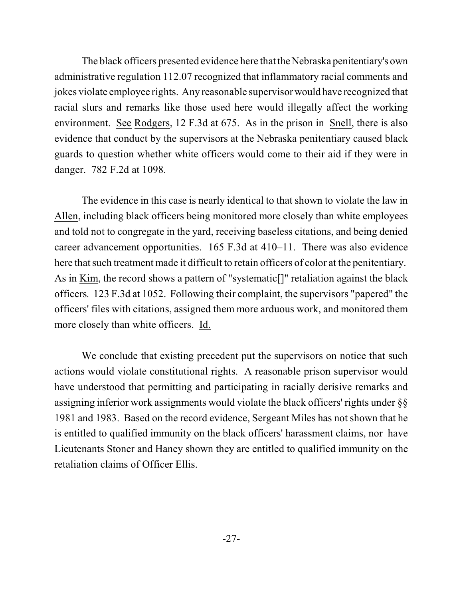The black officers presented evidence here that the Nebraska penitentiary's own administrative regulation 112.07 recognized that inflammatory racial comments and jokes violate employee rights. Any reasonable supervisorwould have recognized that racial slurs and remarks like those used here would illegally affect the working environment. See Rodgers, 12 F.3d at 675. As in the prison in Snell, there is also evidence that conduct by the supervisors at the Nebraska penitentiary caused black guards to question whether white officers would come to their aid if they were in danger. 782 F.2d at 1098.

The evidence in this case is nearly identical to that shown to violate the law in Allen, including black officers being monitored more closely than white employees and told not to congregate in the yard, receiving baseless citations, and being denied career advancement opportunities. 165 F.3d at 410–11. There was also evidence here that such treatment made it difficult to retain officers of color at the penitentiary. As in Kim, the record shows a pattern of "systematic[]" retaliation against the black officers*.* 123 F.3d at 1052. Following their complaint, the supervisors "papered" the officers' files with citations, assigned them more arduous work, and monitored them more closely than white officers. Id.

We conclude that existing precedent put the supervisors on notice that such actions would violate constitutional rights. A reasonable prison supervisor would have understood that permitting and participating in racially derisive remarks and assigning inferior work assignments would violate the black officers' rights under §§ 1981 and 1983. Based on the record evidence, Sergeant Miles has not shown that he is entitled to qualified immunity on the black officers' harassment claims, nor have Lieutenants Stoner and Haney shown they are entitled to qualified immunity on the retaliation claims of Officer Ellis.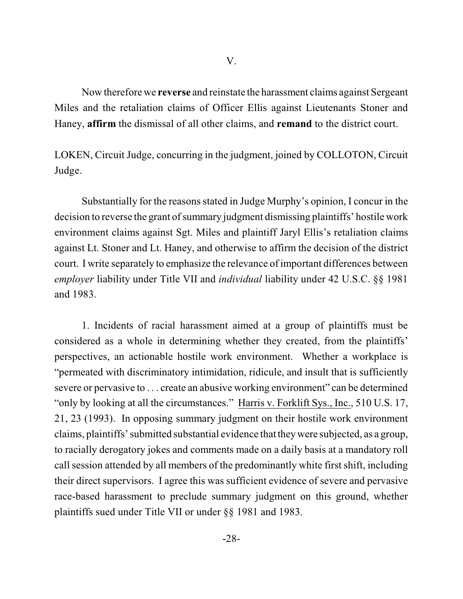Now therefore we **reverse** and reinstate the harassment claims against Sergeant Miles and the retaliation claims of Officer Ellis against Lieutenants Stoner and Haney, **affirm** the dismissal of all other claims, and **remand** to the district court.

LOKEN, Circuit Judge, concurring in the judgment, joined by COLLOTON, Circuit Judge.

Substantially for the reasons stated in Judge Murphy's opinion, I concur in the decision to reverse the grant of summary judgment dismissing plaintiffs' hostile work environment claims against Sgt. Miles and plaintiff Jaryl Ellis's retaliation claims against Lt. Stoner and Lt. Haney, and otherwise to affirm the decision of the district court. I write separately to emphasize the relevance of important differences between *employer* liability under Title VII and *individual* liability under 42 U.S.C. §§ 1981 and 1983.

1. Incidents of racial harassment aimed at a group of plaintiffs must be considered as a whole in determining whether they created, from the plaintiffs' perspectives, an actionable hostile work environment. Whether a workplace is "permeated with discriminatory intimidation, ridicule, and insult that is sufficiently severe or pervasive to . . . create an abusive working environment" can be determined "only by looking at all the circumstances." Harris v. Forklift Sys., Inc., 510 U.S. 17, 21, 23 (1993). In opposing summary judgment on their hostile work environment claims, plaintiffs' submitted substantial evidence thatthey were subjected, as a group, to racially derogatory jokes and comments made on a daily basis at a mandatory roll call session attended by all members of the predominantly white first shift, including their direct supervisors. I agree this was sufficient evidence of severe and pervasive race-based harassment to preclude summary judgment on this ground, whether plaintiffs sued under Title VII or under §§ 1981 and 1983.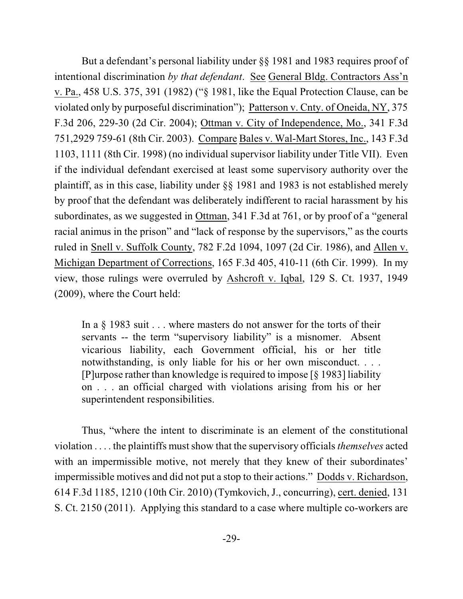But a defendant's personal liability under §§ 1981 and 1983 requires proof of intentional discrimination *by that defendant*. See General Bldg. Contractors Ass'n v. Pa., 458 U.S. 375, 391 (1982) ("§ 1981, like the Equal Protection Clause, can be violated only by purposeful discrimination"); Patterson v. Cnty. of Oneida, NY, 375 F.3d 206, 229-30 (2d Cir. 2004); Ottman v. City of Independence, Mo., 341 F.3d 751,2929 759-61 (8th Cir. 2003). Compare Bales v. Wal-Mart Stores, Inc., 143 F.3d 1103, 1111 (8th Cir. 1998) (no individual supervisor liability under Title VII). Even if the individual defendant exercised at least some supervisory authority over the plaintiff, as in this case, liability under §§ 1981 and 1983 is not established merely by proof that the defendant was deliberately indifferent to racial harassment by his subordinates, as we suggested in Ottman, 341 F.3d at 761, or by proof of a "general racial animus in the prison" and "lack of response by the supervisors," as the courts ruled in Snell v. Suffolk County, 782 F.2d 1094, 1097 (2d Cir. 1986), and Allen v. Michigan Department of Corrections, 165 F.3d 405, 410-11 (6th Cir. 1999). In my view, those rulings were overruled by Ashcroft v. Iqbal, 129 S. Ct. 1937, 1949 (2009), where the Court held:

In a § 1983 suit . . . where masters do not answer for the torts of their servants -- the term "supervisory liability" is a misnomer. Absent vicarious liability, each Government official, his or her title notwithstanding, is only liable for his or her own misconduct. . . . [P] [P] [P] [P] [P] [P] [P]  $\mu$  pose rather than knowledge is required to impose [  $\S$  1983] liability on . . . an official charged with violations arising from his or her superintendent responsibilities.

Thus, "where the intent to discriminate is an element of the constitutional violation . . . . the plaintiffs must show that the supervisory officials *themselves* acted with an impermissible motive, not merely that they knew of their subordinates' impermissible motives and did not put a stop to their actions." Dodds v. Richardson, 614 F.3d 1185, 1210 (10th Cir. 2010) (Tymkovich, J., concurring), cert. denied, 131 S. Ct. 2150 (2011). Applying this standard to a case where multiple co-workers are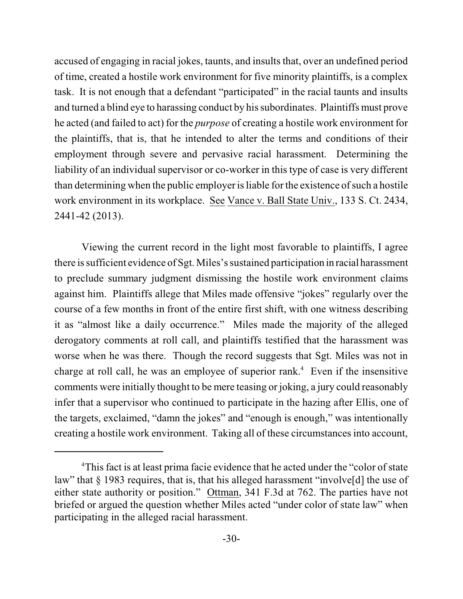accused of engaging in racial jokes, taunts, and insults that, over an undefined period of time, created a hostile work environment for five minority plaintiffs, is a complex task. It is not enough that a defendant "participated" in the racial taunts and insults and turned a blind eye to harassing conduct by his subordinates. Plaintiffs must prove he acted (and failed to act) for the *purpose* of creating a hostile work environment for the plaintiffs, that is, that he intended to alter the terms and conditions of their employment through severe and pervasive racial harassment. Determining the liability of an individual supervisor or co-worker in this type of case is very different than determining when the public employer is liable for the existence of such a hostile work environment in its workplace. See Vance v. Ball State Univ., 133 S. Ct. 2434, 2441-42 (2013).

Viewing the current record in the light most favorable to plaintiffs, I agree there issufficient evidence of Sgt. Miles's sustained participation in racial harassment to preclude summary judgment dismissing the hostile work environment claims against him. Plaintiffs allege that Miles made offensive "jokes" regularly over the course of a few months in front of the entire first shift, with one witness describing it as "almost like a daily occurrence." Miles made the majority of the alleged derogatory comments at roll call, and plaintiffs testified that the harassment was worse when he was there. Though the record suggests that Sgt. Miles was not in charge at roll call, he was an employee of superior rank.<sup>4</sup> Even if the insensitive comments were initially thought to be mere teasing or joking, a jury could reasonably infer that a supervisor who continued to participate in the hazing after Ellis, one of the targets, exclaimed, "damn the jokes" and "enough is enough," was intentionally creating a hostile work environment. Taking all of these circumstances into account,

<sup>&</sup>lt;sup>4</sup>This fact is at least prima facie evidence that he acted under the "color of state law" that § 1983 requires, that is, that his alleged harassment "involve[d] the use of either state authority or position." Ottman, 341 F.3d at 762. The parties have not briefed or argued the question whether Miles acted "under color of state law" when participating in the alleged racial harassment.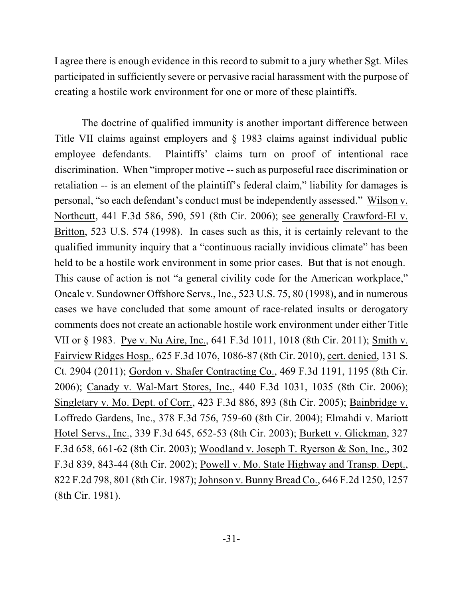I agree there is enough evidence in this record to submit to a jury whether Sgt. Miles participated in sufficiently severe or pervasive racial harassment with the purpose of creating a hostile work environment for one or more of these plaintiffs.

The doctrine of qualified immunity is another important difference between Title VII claims against employers and § 1983 claims against individual public employee defendants. Plaintiffs' claims turn on proof of intentional race discrimination. When "improper motive -- such as purposeful race discrimination or retaliation -- is an element of the plaintiff's federal claim," liability for damages is personal, "so each defendant's conduct must be independently assessed." Wilson v. Northcutt, 441 F.3d 586, 590, 591 (8th Cir. 2006); see generally Crawford-El v. Britton, 523 U.S. 574 (1998). In cases such as this, it is certainly relevant to the qualified immunity inquiry that a "continuous racially invidious climate" has been held to be a hostile work environment in some prior cases. But that is not enough. This cause of action is not "a general civility code for the American workplace," Oncale v. Sundowner Offshore Servs., Inc., 523 U.S. 75, 80 (1998), and in numerous cases we have concluded that some amount of race-related insults or derogatory comments does not create an actionable hostile work environment under either Title VII or § 1983. Pye v. Nu Aire, Inc., 641 F.3d 1011, 1018 (8th Cir. 2011); Smith v. Fairview Ridges Hosp., 625 F.3d 1076, 1086-87 (8th Cir. 2010), cert. denied, 131 S. Ct. 2904 (2011); Gordon v. Shafer Contracting Co., 469 F.3d 1191, 1195 (8th Cir. 2006); Canady v. Wal-Mart Stores, Inc., 440 F.3d 1031, 1035 (8th Cir. 2006); Singletary v. Mo. Dept. of Corr., 423 F.3d 886, 893 (8th Cir. 2005); Bainbridge v. Loffredo Gardens, Inc., 378 F.3d 756, 759-60 (8th Cir. 2004); Elmahdi v. Mariott Hotel Servs., Inc., 339 F.3d 645, 652-53 (8th Cir. 2003); Burkett v. Glickman, 327 F.3d 658, 661-62 (8th Cir. 2003); Woodland v. Joseph T. Ryerson & Son, Inc., 302 F.3d 839, 843-44 (8th Cir. 2002); Powell v. Mo. State Highway and Transp. Dept., 822 F.2d 798, 801 (8th Cir. 1987); Johnson v. BunnyBread Co., 646 F.2d 1250, 1257 (8th Cir. 1981).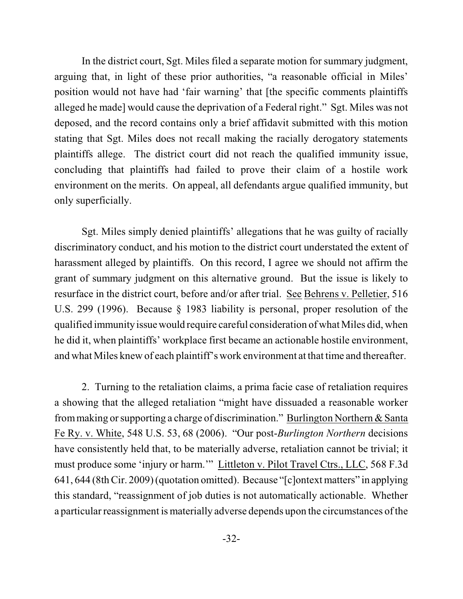In the district court, Sgt. Miles filed a separate motion for summary judgment, arguing that, in light of these prior authorities, "a reasonable official in Miles' position would not have had 'fair warning' that [the specific comments plaintiffs alleged he made] would cause the deprivation of a Federal right." Sgt. Miles was not deposed, and the record contains only a brief affidavit submitted with this motion stating that Sgt. Miles does not recall making the racially derogatory statements plaintiffs allege. The district court did not reach the qualified immunity issue, concluding that plaintiffs had failed to prove their claim of a hostile work environment on the merits. On appeal, all defendants argue qualified immunity, but only superficially.

Sgt. Miles simply denied plaintiffs' allegations that he was guilty of racially discriminatory conduct, and his motion to the district court understated the extent of harassment alleged by plaintiffs. On this record, I agree we should not affirm the grant of summary judgment on this alternative ground. But the issue is likely to resurface in the district court, before and/or after trial. See Behrens v. Pelletier, 516 U.S. 299 (1996). Because § 1983 liability is personal, proper resolution of the qualified immunityissuewould require careful consideration of what Miles did, when he did it, when plaintiffs' workplace first became an actionable hostile environment, and what Miles knew of each plaintiff's work environment at that time and thereafter.

2. Turning to the retaliation claims, a prima facie case of retaliation requires a showing that the alleged retaliation "might have dissuaded a reasonable worker frommaking orsupporting a charge of discrimination." Burlington Northern & Santa Fe Ry. v. White, 548 U.S. 53, 68 (2006). "Our post-*Burlington Northern* decisions have consistently held that, to be materially adverse, retaliation cannot be trivial; it must produce some 'injury or harm.'" Littleton v. Pilot Travel Ctrs., LLC, 568 F.3d 641, 644 (8thCir. 2009) (quotation omitted). Because "[c]ontext matters" in applying this standard, "reassignment of job duties is not automatically actionable. Whether a particular reassignment is materially adverse depends upon the circumstances ofthe